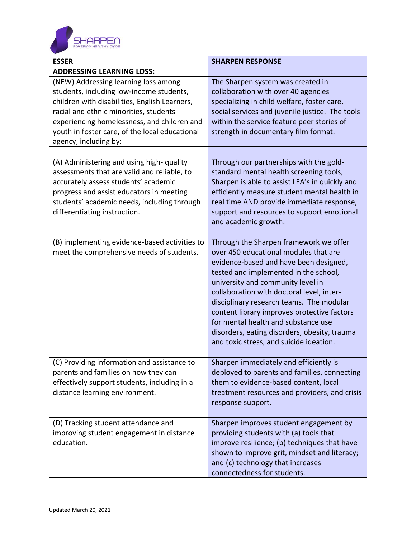

| <b>ESSER</b>                                                                                                                                                                                                                                                                                          | <b>SHARPEN RESPONSE</b>                                                                                                                                                                                                                                                                                                                                                                                                                                                           |
|-------------------------------------------------------------------------------------------------------------------------------------------------------------------------------------------------------------------------------------------------------------------------------------------------------|-----------------------------------------------------------------------------------------------------------------------------------------------------------------------------------------------------------------------------------------------------------------------------------------------------------------------------------------------------------------------------------------------------------------------------------------------------------------------------------|
| <b>ADDRESSING LEARNING LOSS:</b>                                                                                                                                                                                                                                                                      |                                                                                                                                                                                                                                                                                                                                                                                                                                                                                   |
| (NEW) Addressing learning loss among<br>students, including low-income students,<br>children with disabilities, English Learners,<br>racial and ethnic minorities, students<br>experiencing homelessness, and children and<br>youth in foster care, of the local educational<br>agency, including by: | The Sharpen system was created in<br>collaboration with over 40 agencies<br>specializing in child welfare, foster care,<br>social services and juvenile justice. The tools<br>within the service feature peer stories of<br>strength in documentary film format.                                                                                                                                                                                                                  |
|                                                                                                                                                                                                                                                                                                       |                                                                                                                                                                                                                                                                                                                                                                                                                                                                                   |
| (A) Administering and using high-quality<br>assessments that are valid and reliable, to<br>accurately assess students' academic<br>progress and assist educators in meeting<br>students' academic needs, including through<br>differentiating instruction.                                            | Through our partnerships with the gold-<br>standard mental health screening tools,<br>Sharpen is able to assist LEA's in quickly and<br>efficiently measure student mental health in<br>real time AND provide immediate response,<br>support and resources to support emotional<br>and academic growth.                                                                                                                                                                           |
|                                                                                                                                                                                                                                                                                                       |                                                                                                                                                                                                                                                                                                                                                                                                                                                                                   |
| (B) implementing evidence-based activities to<br>meet the comprehensive needs of students.                                                                                                                                                                                                            | Through the Sharpen framework we offer<br>over 450 educational modules that are<br>evidence-based and have been designed,<br>tested and implemented in the school,<br>university and community level in<br>collaboration with doctoral level, inter-<br>disciplinary research teams. The modular<br>content library improves protective factors<br>for mental health and substance use<br>disorders, eating disorders, obesity, trauma<br>and toxic stress, and suicide ideation. |
|                                                                                                                                                                                                                                                                                                       |                                                                                                                                                                                                                                                                                                                                                                                                                                                                                   |
| (C) Providing information and assistance to<br>parents and families on how they can<br>effectively support students, including in a<br>distance learning environment.                                                                                                                                 | Sharpen immediately and efficiently is<br>deployed to parents and families, connecting<br>them to evidence-based content, local<br>treatment resources and providers, and crisis<br>response support.                                                                                                                                                                                                                                                                             |
|                                                                                                                                                                                                                                                                                                       |                                                                                                                                                                                                                                                                                                                                                                                                                                                                                   |
| (D) Tracking student attendance and<br>improving student engagement in distance<br>education.                                                                                                                                                                                                         | Sharpen improves student engagement by<br>providing students with (a) tools that<br>improve resilience; (b) techniques that have<br>shown to improve grit, mindset and literacy;<br>and (c) technology that increases<br>connectedness for students.                                                                                                                                                                                                                              |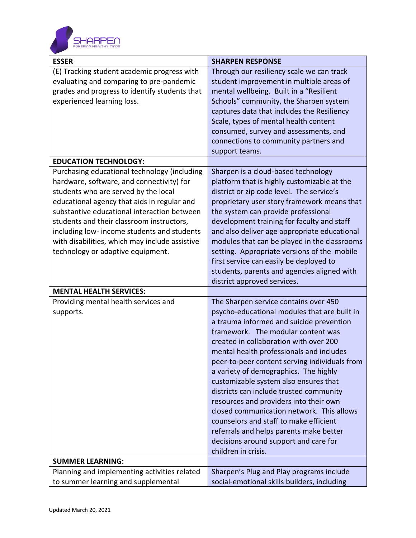

| <b>ESSER</b>                                   | <b>SHARPEN RESPONSE</b>                       |
|------------------------------------------------|-----------------------------------------------|
| (E) Tracking student academic progress with    | Through our resiliency scale we can track     |
| evaluating and comparing to pre-pandemic       | student improvement in multiple areas of      |
| grades and progress to identify students that  | mental wellbeing. Built in a "Resilient       |
| experienced learning loss.                     | Schools" community, the Sharpen system        |
|                                                | captures data that includes the Resiliency    |
|                                                | Scale, types of mental health content         |
|                                                | consumed, survey and assessments, and         |
|                                                | connections to community partners and         |
|                                                | support teams.                                |
| <b>EDUCATION TECHNOLOGY:</b>                   |                                               |
| Purchasing educational technology (including   | Sharpen is a cloud-based technology           |
| hardware, software, and connectivity) for      | platform that is highly customizable at the   |
| students who are served by the local           | district or zip code level. The service's     |
| educational agency that aids in regular and    | proprietary user story framework means that   |
| substantive educational interaction between    | the system can provide professional           |
| students and their classroom instructors,      | development training for faculty and staff    |
| including low- income students and students    | and also deliver age appropriate educational  |
| with disabilities, which may include assistive | modules that can be played in the classrooms  |
| technology or adaptive equipment.              | setting. Appropriate versions of the mobile   |
|                                                | first service can easily be deployed to       |
|                                                | students, parents and agencies aligned with   |
|                                                | district approved services.                   |
| <b>MENTAL HEALTH SERVICES:</b>                 |                                               |
| Providing mental health services and           | The Sharpen service contains over 450         |
| supports.                                      | psycho-educational modules that are built in  |
|                                                | a trauma informed and suicide prevention      |
|                                                | framework. The modular content was            |
|                                                | created in collaboration with over 200        |
|                                                | mental health professionals and includes      |
|                                                | peer-to-peer content serving individuals from |
|                                                | a variety of demographics. The highly         |
|                                                | customizable system also ensures that         |
|                                                | districts can include trusted community       |
|                                                | resources and providers into their own        |
|                                                | closed communication network. This allows     |
|                                                | counselors and staff to make efficient        |
|                                                | referrals and helps parents make better       |
|                                                | decisions around support and care for         |
|                                                | children in crisis.                           |
| <b>SUMMER LEARNING:</b>                        |                                               |
| Planning and implementing activities related   | Sharpen's Plug and Play programs include      |
| to summer learning and supplemental            | social-emotional skills builders, including   |